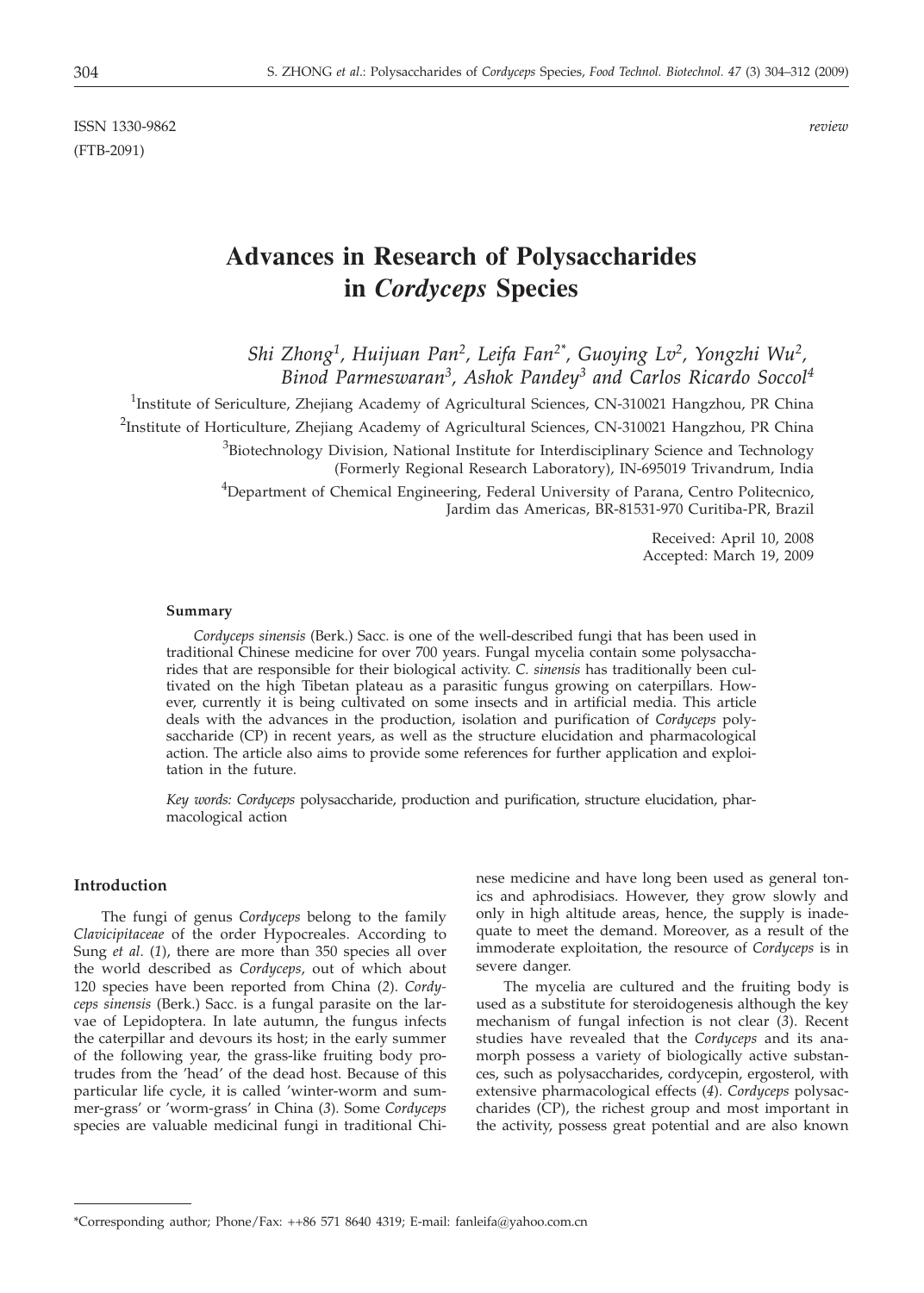ISSN 1330-9862 *review* (FTB-2091)

# **Advances in Research of Polysaccharides in** *Cordyceps* **Species**

*Shi Zhong1, Huijuan Pan2, Leifa Fan2\*, Guoying Lv2, Yongzhi Wu2, Binod Parmeswaran3, Ashok Pandey3 and Carlos Ricardo Soccol4*

<sup>1</sup>Institute of Sericulture, Zhejiang Academy of Agricultural Sciences, CN-310021 Hangzhou, PR China <sup>2</sup>Institute of Horticulture, Zhejiang Academy of Agricultural Sciences, CN-310021 Hangzhou, PR China <sup>3</sup>Biotechnology Division, National Institute for Interdisciplinary Science and Technology (Formerly Regional Research Laboratory), IN-695019 Trivandrum, India <sup>4</sup>Department of Chemical Engineering, Federal University of Parana, Centro Politecnico,

Jardim das Americas, BR-81531-970 Curitiba-PR, Brazil

Received: April 10, 2008 Accepted: March 19, 2009

#### **Summary**

*Cordyceps sinensis* (Berk.) Sacc. is one of the well-described fungi that has been used in traditional Chinese medicine for over 700 years. Fungal mycelia contain some polysaccharides that are responsible for their biological activity. *C. sinensis* has traditionally been cultivated on the high Tibetan plateau as a parasitic fungus growing on caterpillars. However, currently it is being cultivated on some insects and in artificial media. This article deals with the advances in the production, isolation and purification of *Cordyceps* polysaccharide (CP) in recent years, as well as the structure elucidation and pharmacological action. The article also aims to provide some references for further application and exploitation in the future.

*Key words: Cordyceps* polysaccharide, production and purification, structure elucidation, pharmacological action

## **Introduction**

The fungi of genus *Cordyceps* belong to the family *Clavicipitaceae* of the order Hypocreales. According to Sung *et al*. (*1*), there are more than 350 species all over the world described as *Cordyceps*, out of which about 120 species have been reported from China (*2*). *Cordyceps sinensis* (Berk.) Sacc. is a fungal parasite on the larvae of Lepidoptera. In late autumn, the fungus infects the caterpillar and devours its host; in the early summer of the following year, the grass-like fruiting body protrudes from the 'head' of the dead host. Because of this particular life cycle, it is called 'winter-worm and summer-grass' or 'worm-grass' in China (*3*). Some *Cordyceps* species are valuable medicinal fungi in traditional Chinese medicine and have long been used as general tonics and aphrodisiacs. However, they grow slowly and only in high altitude areas, hence, the supply is inadequate to meet the demand. Moreover, as a result of the immoderate exploitation, the resource of *Cordyceps* is in severe danger.

The mycelia are cultured and the fruiting body is used as a substitute for steroidogenesis although the key mechanism of fungal infection is not clear (*3*). Recent studies have revealed that the *Cordyceps* and its anamorph possess a variety of biologically active substances, such as polysaccharides, cordycepin, ergosterol, with extensive pharmacological effects (*4*). *Cordyceps* polysaccharides (CP), the richest group and most important in the activity, possess great potential and are also known

<sup>\*</sup>Corresponding author; Phone/Fax: ++86 571 8640 4319; E-mail: fanleifa@yahoo.com.cn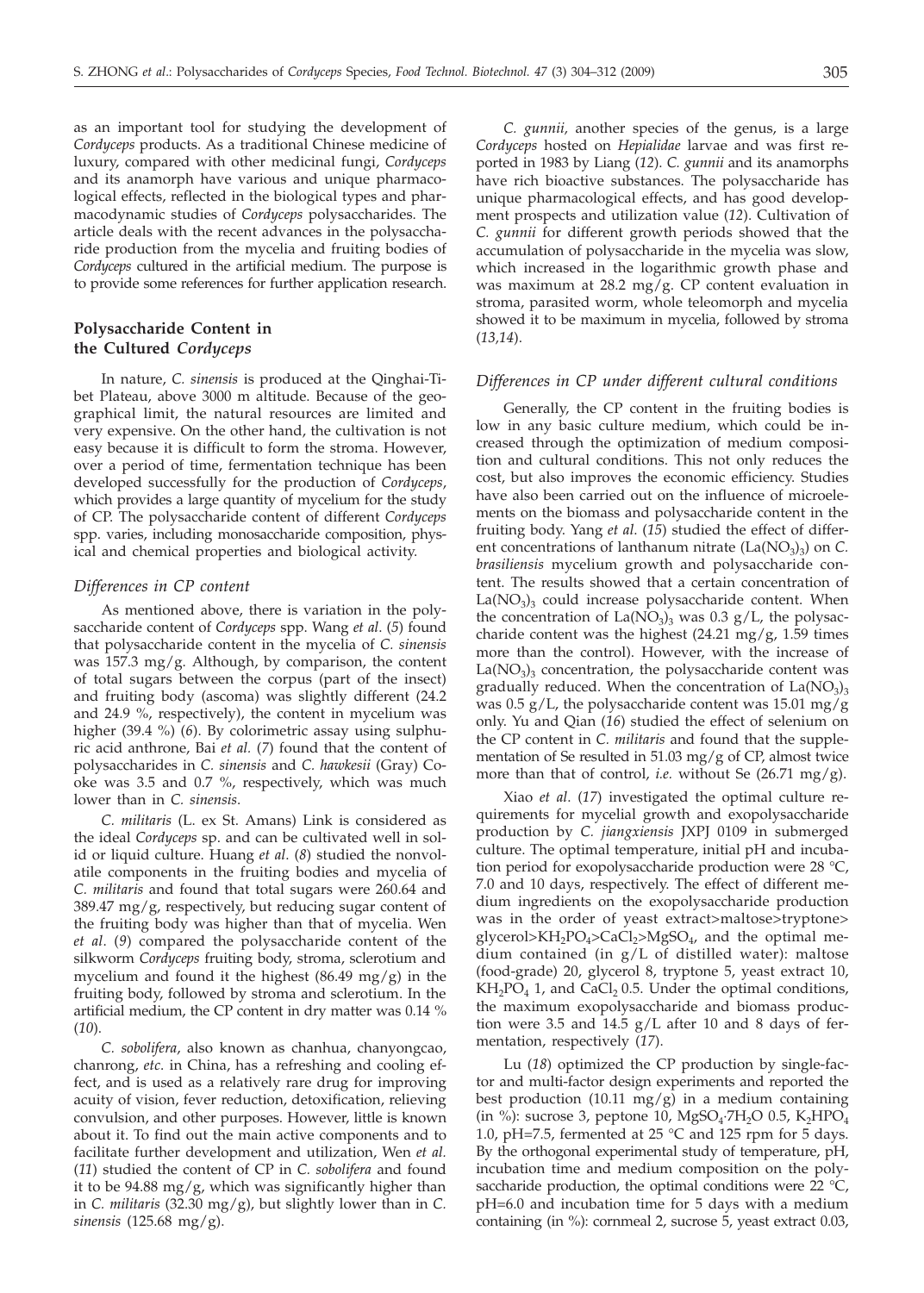as an important tool for studying the development of *Cordyceps* products. As a traditional Chinese medicine of luxury, compared with other medicinal fungi, *Cordyceps* and its anamorph have various and unique pharmacological effects, reflected in the biological types and pharmacodynamic studies of *Cordyceps* polysaccharides. The article deals with the recent advances in the polysaccharide production from the mycelia and fruiting bodies of *Cordyceps* cultured in the artificial medium. The purpose is to provide some references for further application research.

# **Polysaccharide Content in the Cultured** *Cordyceps*

In nature, *C. sinensis* is produced at the Qinghai-Tibet Plateau, above 3000 m altitude. Because of the geographical limit, the natural resources are limited and very expensive. On the other hand, the cultivation is not easy because it is difficult to form the stroma. However, over a period of time, fermentation technique has been developed successfully for the production of *Cordyceps*, which provides a large quantity of mycelium for the study of CP. The polysaccharide content of different *Cordyceps* spp. varies, including monosaccharide composition, physical and chemical properties and biological activity.

# *Differences in CP content*

As mentioned above, there is variation in the polysaccharide content of *Cordyceps* spp. Wang *et al*. (*5*) found that polysaccharide content in the mycelia of *C. sinensis* was  $157.3 \text{ mg/g}$ . Although, by comparison, the content of total sugars between the corpus (part of the insect) and fruiting body (ascoma) was slightly different (24.2 and 24.9 %, respectively), the content in mycelium was higher (39.4 %) (*6*). By colorimetric assay using sulphuric acid anthrone, Bai *et al.* (*7*) found that the content of polysaccharides in *C. sinensis* and *C. hawkesii* (Gray) Cooke was 3.5 and 0.7 %, respectively, which was much lower than in *C. sinensis*.

*C. militaris* (L. ex St. Amans) Link is considered as the ideal *Cordyceps* sp. and can be cultivated well in solid or liquid culture. Huang *et al*. (*8*) studied the nonvolatile components in the fruiting bodies and mycelia of *C. militaris* and found that total sugars were 260.64 and 389.47 mg/g, respectively, but reducing sugar content of the fruiting body was higher than that of mycelia. Wen *et al*. (*9*) compared the polysaccharide content of the silkworm *Cordyceps* fruiting body, stroma, sclerotium and mycelium and found it the highest  $(86.49 \text{ mg/g})$  in the fruiting body, followed by stroma and sclerotium. In the artificial medium, the CP content in dry matter was 0.14 % (*10*).

*C. sobolifera*, also known as chanhua, chanyongcao, chanrong, *etc*. in China, has a refreshing and cooling effect, and is used as a relatively rare drug for improving acuity of vision, fever reduction, detoxification, relieving convulsion, and other purposes. However, little is known about it. To find out the main active components and to facilitate further development and utilization, Wen *et al.* (*11*) studied the content of CP in *C. sobolifera* and found it to be 94.88 mg/g, which was significantly higher than in *C. militaris* (32.30 mg/g), but slightly lower than in *C. sinensis* (125.68 mg/g).

*C. gunnii,* another species of the genus, is a large *Cordyceps* hosted on *Hepialidae* larvae and was first reported in 1983 by Liang (*12*). *C. gunnii* and its anamorphs have rich bioactive substances. The polysaccharide has unique pharmacological effects, and has good development prospects and utilization value (*12*). Cultivation of *C. gunnii* for different growth periods showed that the accumulation of polysaccharide in the mycelia was slow, which increased in the logarithmic growth phase and was maximum at 28.2 mg/g. CP content evaluation in stroma, parasited worm, whole teleomorph and mycelia showed it to be maximum in mycelia, followed by stroma (*13,14*).

#### *Differences in CP under different cultural conditions*

Generally, the CP content in the fruiting bodies is low in any basic culture medium, which could be increased through the optimization of medium composition and cultural conditions. This not only reduces the cost, but also improves the economic efficiency. Studies have also been carried out on the influence of microelements on the biomass and polysaccharide content in the fruiting body. Yang *et al*. (*15*) studied the effect of different concentrations of lanthanum nitrate  $(La(NO_3)_3)$  on *C*. *brasiliensis* mycelium growth and polysaccharide content. The results showed that a certain concentration of  $La(NO<sub>3</sub>)<sub>3</sub>$  could increase polysaccharide content. When the concentration of  $La(NO<sub>3</sub>)<sub>3</sub>$  was 0.3 g/L, the polysaccharide content was the highest  $(24.21 \text{ mg}/g, 1.59 \text{ times}$ more than the control). However, with the increase of  $La(NO<sub>3</sub>)<sub>3</sub>$  concentration, the polysaccharide content was gradually reduced. When the concentration of  $La(NO<sub>3</sub>)<sub>3</sub>$ was  $0.5$  g/L, the polysaccharide content was 15.01 mg/g only. Yu and Qian (*16*) studied the effect of selenium on the CP content in *C. militaris* and found that the supplementation of Se resulted in 51.03 mg/g of CP, almost twice more than that of control, *i.e.* without Se (26.71 mg/g).

Xiao *et al*. (*17*) investigated the optimal culture requirements for mycelial growth and exopolysaccharide production by *C. jiangxiensis* JXPJ 0109 in submerged culture. The optimal temperature, initial pH and incubation period for exopolysaccharide production were 28 °C, 7.0 and 10 days, respectively. The effect of different medium ingredients on the exopolysaccharide production was in the order of yeast extract>maltose>tryptone> glycerol>KH<sub>2</sub>PO<sub>4</sub>>CaCl<sub>2</sub>>MgSO<sub>4</sub>, and the optimal medium contained (in g/L of distilled water): maltose (food-grade) 20, glycerol 8, tryptone 5, yeast extract 10,  $KH_2PO_4$  1, and CaCl<sub>2</sub> 0.5. Under the optimal conditions, the maximum exopolysaccharide and biomass production were 3.5 and 14.5 g/L after 10 and 8 days of fermentation, respectively (*17*).

Lu (*18*) optimized the CP production by single-factor and multi-factor design experiments and reported the best production  $(10.11 \text{ mg/g})$  in a medium containing (in %): sucrose 3, peptone 10,  $MgSO<sub>4</sub>·7H<sub>2</sub>O$  0.5,  $K<sub>2</sub>HPO<sub>4</sub>$ 1.0, pH=7.5, fermented at 25 °C and 125 rpm for 5 days. By the orthogonal experimental study of temperature, pH, incubation time and medium composition on the polysaccharide production, the optimal conditions were 22  $^{\circ}C$ , pH=6.0 and incubation time for 5 days with a medium containing (in %): cornmeal 2, sucrose 5, yeast extract 0.03,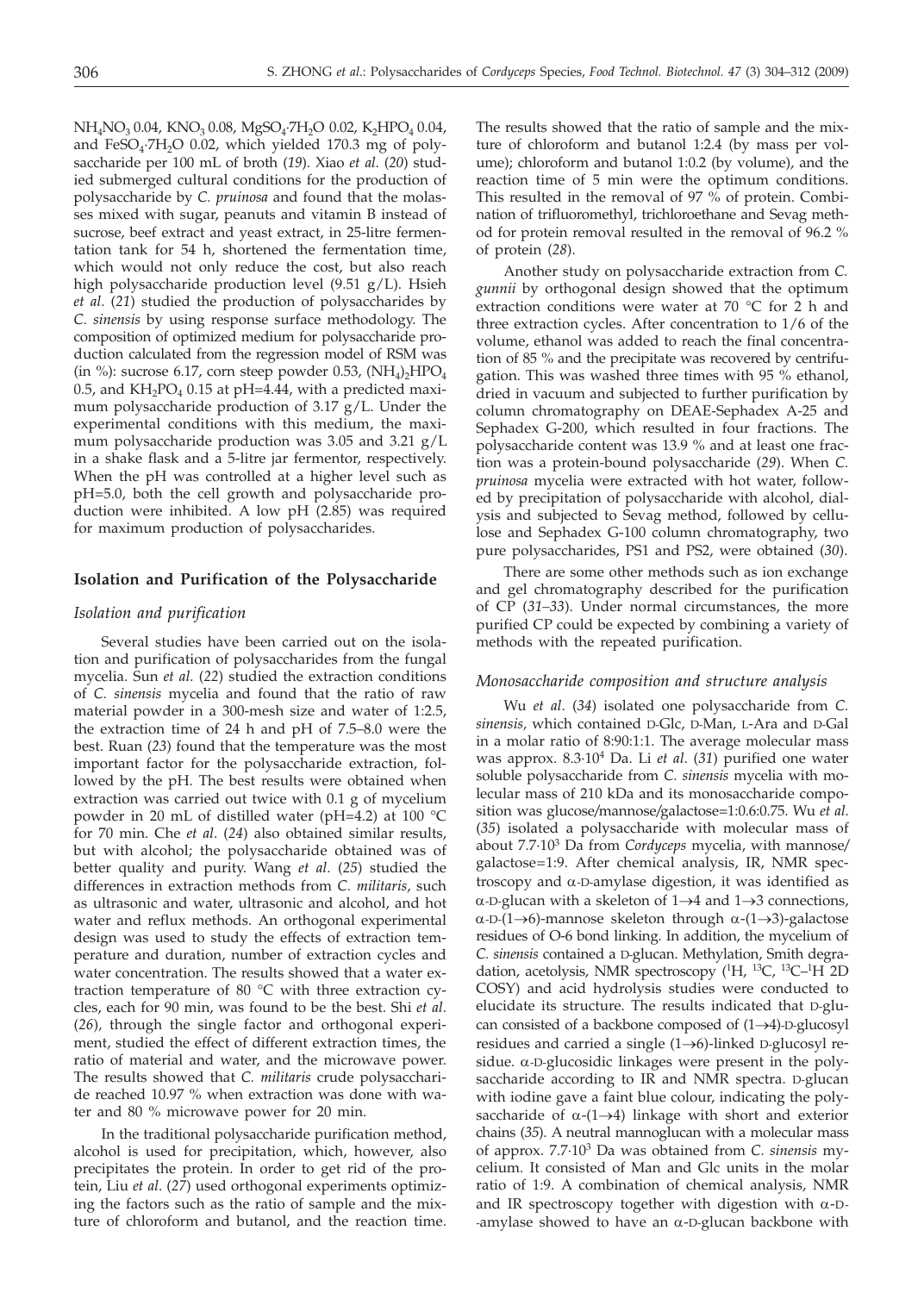NH<sub>4</sub>NO<sub>3</sub> 0.04, KNO<sub>3</sub> 0.08, MgSO<sub>4</sub>·7H<sub>2</sub>O 0.02, K<sub>2</sub>HPO<sub>4</sub> 0.04, and FeSO<sub>4</sub>·7H<sub>2</sub>O 0.02, which yielded 170.3 mg of polysaccharide per 100 mL of broth (*19*). Xiao *et al*. (*20*) studied submerged cultural conditions for the production of polysaccharide by *C. pruinosa* and found that the molasses mixed with sugar, peanuts and vitamin B instead of sucrose, beef extract and yeast extract, in 25-litre fermentation tank for 54 h, shortened the fermentation time, which would not only reduce the cost, but also reach high polysaccharide production level (9.51 g/L). Hsieh *et al*. (*21*) studied the production of polysaccharides by *C. sinensis* by using response surface methodology. The composition of optimized medium for polysaccharide production calculated from the regression model of RSM was (in %): sucrose 6.17, corn steep powder 0.53,  $(NH_4)_2HPO_4$ 0.5, and  $KH_2PO_4$  0.15 at pH=4.44, with a predicted maximum polysaccharide production of 3.17 g/L. Under the experimental conditions with this medium, the maximum polysaccharide production was 3.05 and 3.21 g/L in a shake flask and a 5-litre jar fermentor, respectively. When the pH was controlled at a higher level such as pH=5.0, both the cell growth and polysaccharide production were inhibited. A low pH (2.85) was required for maximum production of polysaccharides.

#### **Isolation and Purification of the Polysaccharide**

## *Isolation and purification*

Several studies have been carried out on the isolation and purification of polysaccharides from the fungal mycelia. Sun *et al.* (*22*) studied the extraction conditions of *C. sinensis* mycelia and found that the ratio of raw material powder in a 300-mesh size and water of 1:2.5, the extraction time of 24 h and pH of 7.5–8.0 were the best. Ruan (*23*) found that the temperature was the most important factor for the polysaccharide extraction, followed by the pH. The best results were obtained when extraction was carried out twice with 0.1 g of mycelium powder in 20 mL of distilled water (pH=4.2) at 100 °C for 70 min. Che *et al*. (*24*) also obtained similar results, but with alcohol; the polysaccharide obtained was of better quality and purity. Wang *et al*. (*25*) studied the differences in extraction methods from *C. militaris*, such as ultrasonic and water, ultrasonic and alcohol, and hot water and reflux methods. An orthogonal experimental design was used to study the effects of extraction temperature and duration, number of extraction cycles and water concentration. The results showed that a water extraction temperature of 80 °C with three extraction cycles, each for 90 min, was found to be the best. Shi *et al*. (*26*)*,* through the single factor and orthogonal experiment, studied the effect of different extraction times, the ratio of material and water, and the microwave power. The results showed that *C. militaris* crude polysaccharide reached 10.97 % when extraction was done with water and 80 % microwave power for 20 min.

In the traditional polysaccharide purification method, alcohol is used for precipitation, which, however, also precipitates the protein. In order to get rid of the protein, Liu *et al*. (*27*) used orthogonal experiments optimizing the factors such as the ratio of sample and the mixture of chloroform and butanol, and the reaction time. The results showed that the ratio of sample and the mixture of chloroform and butanol 1:2.4 (by mass per volume); chloroform and butanol 1:0.2 (by volume), and the reaction time of 5 min were the optimum conditions. This resulted in the removal of 97  $\%$  of protein. Combination of trifluoromethyl, trichloroethane and Sevag method for protein removal resulted in the removal of 96.2 % of protein (*28*).

Another study on polysaccharide extraction from *C. gunnii* by orthogonal design showed that the optimum extraction conditions were water at 70 °C for 2 h and three extraction cycles. After concentration to 1/6 of the volume, ethanol was added to reach the final concentration of 85 % and the precipitate was recovered by centrifugation. This was washed three times with 95 % ethanol, dried in vacuum and subjected to further purification by column chromatography on DEAE-Sephadex A-25 and Sephadex G-200, which resulted in four fractions. The polysaccharide content was 13.9 % and at least one fraction was a protein-bound polysaccharide (*29*). When *C. pruinosa* mycelia were extracted with hot water, followed by precipitation of polysaccharide with alcohol, dialysis and subjected to Sevag method, followed by cellulose and Sephadex G-100 column chromatography, two pure polysaccharides, PS1 and PS2, were obtained (*30*).

There are some other methods such as ion exchange and gel chromatography described for the purification of CP (*31–33*). Under normal circumstances, the more purified CP could be expected by combining a variety of methods with the repeated purification.

## *Monosaccharide composition and structure analysis*

Wu *et al*. (*34*) isolated one polysaccharide from *C. sinensis,* which contained D-Glc, D-Man, L-Ara and D-Gal in a molar ratio of 8:90:1:1. The average molecular mass was approx. 8.3·104 Da. Li *et al*. (*31*) purified one water soluble polysaccharide from *C. sinensis* mycelia with molecular mass of 210 kDa and its monosaccharide composition was glucose*/*mannose*/*galactose=1:0.6:0.75. Wu *et al*. (*35*) isolated a polysaccharide with molecular mass of about 7.7·103 Da from *Cordyceps* mycelia, with mannose*/* galactose=1:9. After chemical analysis, IR, NMR spectroscopy and a-D-amylase digestion, it was identified as  $\alpha$ -D-glucan with a skeleton of 1 $\rightarrow$ 4 and 1 $\rightarrow$ 3 connections,  $\alpha$ -D-(1 $\rightarrow$ 6)-mannose skeleton through  $\alpha$ -(1 $\rightarrow$ 3)-galactose residues of O-6 bond linking. In addition, the mycelium of *C. sinensis* contained a D-glucan. Methylation, Smith degradation, acetolysis, NMR spectroscopy (<sup>1</sup>H, <sup>13</sup>C, <sup>13</sup>C-<sup>1</sup>H 2D COSY) and acid hydrolysis studies were conducted to elucidate its structure. The results indicated that D-glucan consisted of a backbone composed of  $(1 \rightarrow 4)$ -D-glucosyl residues and carried a single  $(1\rightarrow 6)$ -linked D-glucosyl residue. a-D-glucosidic linkages were present in the polysaccharide according to IR and NMR spectra. D-glucan with iodine gave a faint blue colour, indicating the polysaccharide of  $\alpha$ -(1 $\rightarrow$ 4) linkage with short and exterior chains (*35*). A neutral mannoglucan with a molecular mass of approx. 7.7·103 Da was obtained from *C. sinensis* mycelium. It consisted of Man and Glc units in the molar ratio of 1:9. A combination of chemical analysis, NMR and IR spectroscopy together with digestion with  $\alpha$ -D--amylase showed to have an  $\alpha$ -D-glucan backbone with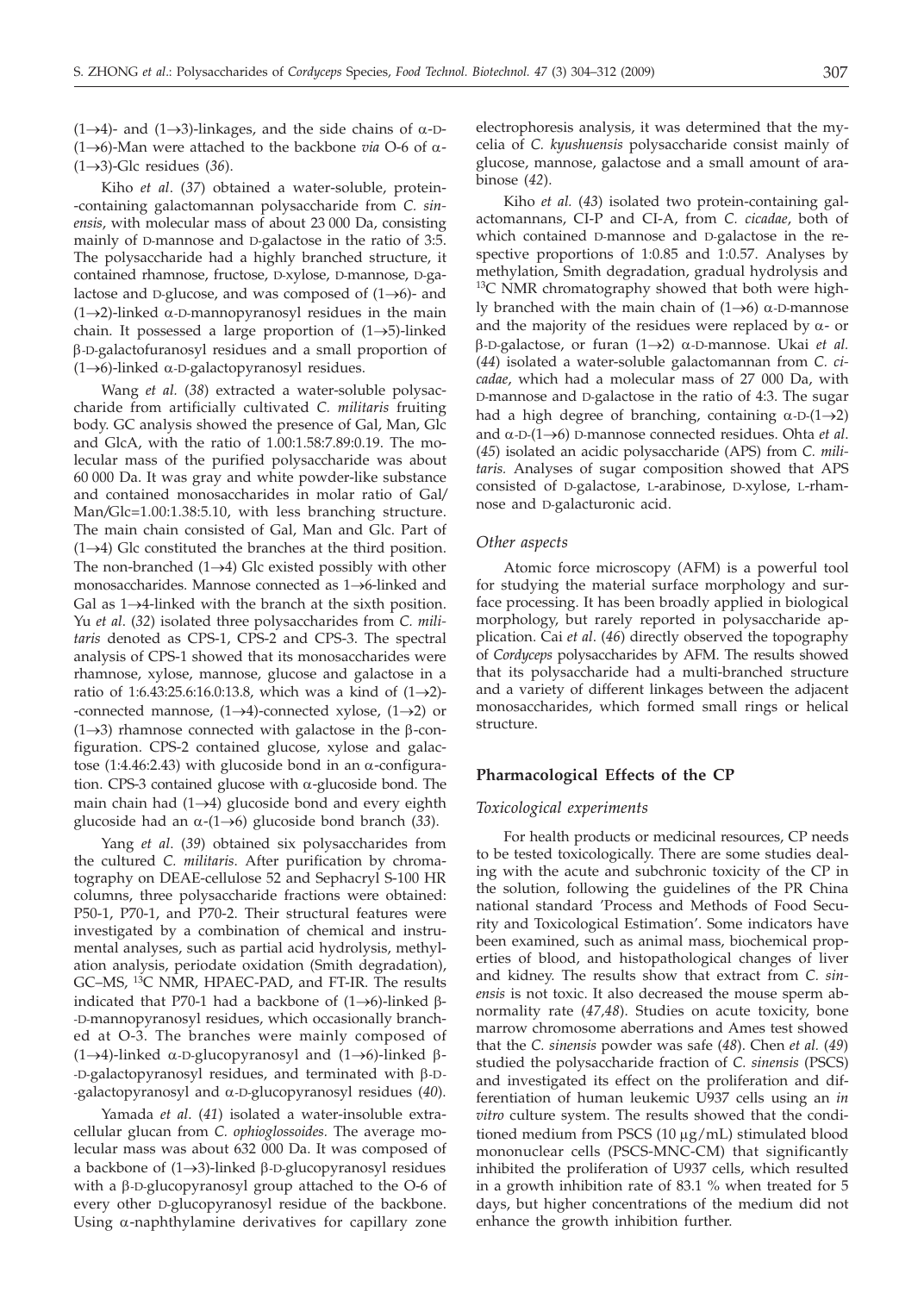(1 $\rightarrow$ 4)- and (1 $\rightarrow$ 3)-linkages, and the side chains of  $\alpha$ -D-(1 $\rightarrow$ 6)-Man were attached to the backbone *via* O-6 of  $\alpha$ - $(1 \rightarrow 3)$ -Glc residues (36).

Kiho *et al*. (*37*) obtained a water-soluble, protein- -containing galactomannan polysaccharide from *C. sinensis*, with molecular mass of about 23 000 Da, consisting mainly of D-mannose and D-galactose in the ratio of 3:5. The polysaccharide had a highly branched structure, it contained rhamnose, fructose, D-xylose, D-mannose, D-galactose and D-glucose, and was composed of  $(1 \rightarrow 6)$ - and  $(1\rightarrow 2)$ -linked  $\alpha$ -D-mannopyranosyl residues in the main chain. It possessed a large proportion of  $(1 \rightarrow 5)$ -linked b-D-galactofuranosyl residues and a small proportion of (1 $\rightarrow$ 6)-linked  $\alpha$ -D-galactopyranosyl residues.

Wang *et al.* (*38*) extracted a water-soluble polysaccharide from artificially cultivated *C. militaris* fruiting body. GC analysis showed the presence of Gal, Man, Glc and GlcA, with the ratio of 1.00:1.58:7.89:0.19. The molecular mass of the purified polysaccharide was about 60 000 Da. It was gray and white powder-like substance and contained monosaccharides in molar ratio of Gal*/* Man*/*Glc=1.00:1.38:5.10, with less branching structure. The main chain consisted of Gal, Man and Glc. Part of  $(1 \rightarrow 4)$  Glc constituted the branches at the third position. The non-branched  $(1 \rightarrow 4)$  Glc existed possibly with other monosaccharides. Mannose connected as  $1 \rightarrow 6$ -linked and Gal as  $1 \rightarrow 4$ -linked with the branch at the sixth position. Yu *et al*. (*32*) isolated three polysaccharides from *C. militaris* denoted as CPS-1, CPS-2 and CPS-3. The spectral analysis of CPS-1 showed that its monosaccharides were rhamnose, xylose, mannose, glucose and galactose in a ratio of 1:6.43:25.6:16.0:13.8, which was a kind of  $(1 \rightarrow 2)$ --connected mannose,  $(1 \rightarrow 4)$ -connected xylose,  $(1 \rightarrow 2)$  or (1 $\rightarrow$ 3) rhamnose connected with galactose in the  $\beta$ -configuration. CPS-2 contained glucose, xylose and galactose (1:4.46:2.43) with glucoside bond in an  $\alpha$ -configuration. CPS-3 contained glucose with  $\alpha$ -glucoside bond. The main chain had  $(1 \rightarrow 4)$  glucoside bond and every eighth glucoside had an  $\alpha$ -(1 $\rightarrow$ 6) glucoside bond branch (33).

Yang *et al*. (*39*) obtained six polysaccharides from the cultured *C. militaris*. After purification by chromatography on DEAE-cellulose 52 and Sephacryl S-100 HR columns, three polysaccharide fractions were obtained: P50-1, P70-1, and P70-2. Their structural features were investigated by a combination of chemical and instrumental analyses, such as partial acid hydrolysis, methylation analysis, periodate oxidation (Smith degradation), GC–MS, 13C NMR, HPAEC-PAD, and FT-IR. The results indicated that P70-1 had a backbone of  $(1\rightarrow 6)$ -linked  $\beta$ --D-mannopyranosyl residues, which occasionally branched at O-3. The branches were mainly composed of  $(1\rightarrow 4)$ -linked  $\alpha$ -D-glucopyranosyl and  $(1\rightarrow 6)$ -linked  $\beta$ - $-D$ -galactopyranosyl residues, and terminated with  $\beta$ -D--galactopyranosyl and a-D-glucopyranosyl residues (*40*).

Yamada *et al*. (*41*) isolated a water-insoluble extracellular glucan from *C. ophioglossoides.* The average molecular mass was about 632 000 Da. It was composed of a backbone of  $(1\rightarrow 3)$ -linked  $\beta$ -D-glucopyranosyl residues with a  $\beta$ -D-glucopyranosyl group attached to the O-6 of every other D-glucopyranosyl residue of the backbone. Using  $\alpha$ -naphthylamine derivatives for capillary zone

electrophoresis analysis, it was determined that the mycelia of *C. kyushuensis* polysaccharide consist mainly of glucose, mannose, galactose and a small amount of arabinose (*42*).

Kiho *et al.* (*43*) isolated two protein-containing galactomannans, CI-P and CI-A, from *C. cicadae*, both of which contained D-mannose and D-galactose in the respective proportions of 1:0.85 and 1:0.57. Analyses by methylation, Smith degradation, gradual hydrolysis and <sup>13</sup>C NMR chromatography showed that both were highly branched with the main chain of  $(1\rightarrow6)$   $\alpha$ -D-mannose and the majority of the residues were replaced by  $\alpha$ - or  $\beta$ -D-galactose, or furan (1 $\rightarrow$ 2)  $\alpha$ -D-mannose. Ukai *et al.* (*44*) isolated a water-soluble galactomannan from *C. cicadae*, which had a molecular mass of 27 000 Da, with D-mannose and D-galactose in the ratio of 4:3. The sugar had a high degree of branching, containing  $\alpha$ -D-(1 $\rightarrow$ 2) and  $\alpha$ -D-(1 $\rightarrow$ 6) D-mannose connected residues. Ohta *et al*. (*45*) isolated an acidic polysaccharide (APS) from *C. militaris.* Analyses of sugar composition showed that APS consisted of D-galactose, L-arabinose, D-xylose, L-rhamnose and D-galacturonic acid.

## *Other aspects*

Atomic force microscopy (AFM) is a powerful tool for studying the material surface morphology and surface processing. It has been broadly applied in biological morphology, but rarely reported in polysaccharide application. Cai *et al*. (*46*) directly observed the topography of *Cordyceps* polysaccharides by AFM. The results showed that its polysaccharide had a multi-branched structure and a variety of different linkages between the adjacent monosaccharides, which formed small rings or helical structure.

#### **Pharmacological Effects of the CP**

#### *Toxicological experiments*

For health products or medicinal resources, CP needs to be tested toxicologically. There are some studies dealing with the acute and subchronic toxicity of the CP in the solution, following the guidelines of the PR China national standard 'Process and Methods of Food Security and Toxicological Estimation'. Some indicators have been examined, such as animal mass, biochemical properties of blood, and histopathological changes of liver and kidney. The results show that extract from *C. sinensis* is not toxic. It also decreased the mouse sperm abnormality rate (*47,48*). Studies on acute toxicity, bone marrow chromosome aberrations and Ames test showed that the *C. sinensis* powder was safe (*48*). Chen *et al.* (*49*) studied the polysaccharide fraction of *C. sinensis* (PSCS) and investigated its effect on the proliferation and differentiation of human leukemic U937 cells using an *in vitro* culture system. The results showed that the conditioned medium from PSCS  $(10 \mu g/mL)$  stimulated blood mononuclear cells (PSCS-MNC-CM) that significantly inhibited the proliferation of U937 cells, which resulted in a growth inhibition rate of 83.1 % when treated for 5 days, but higher concentrations of the medium did not enhance the growth inhibition further.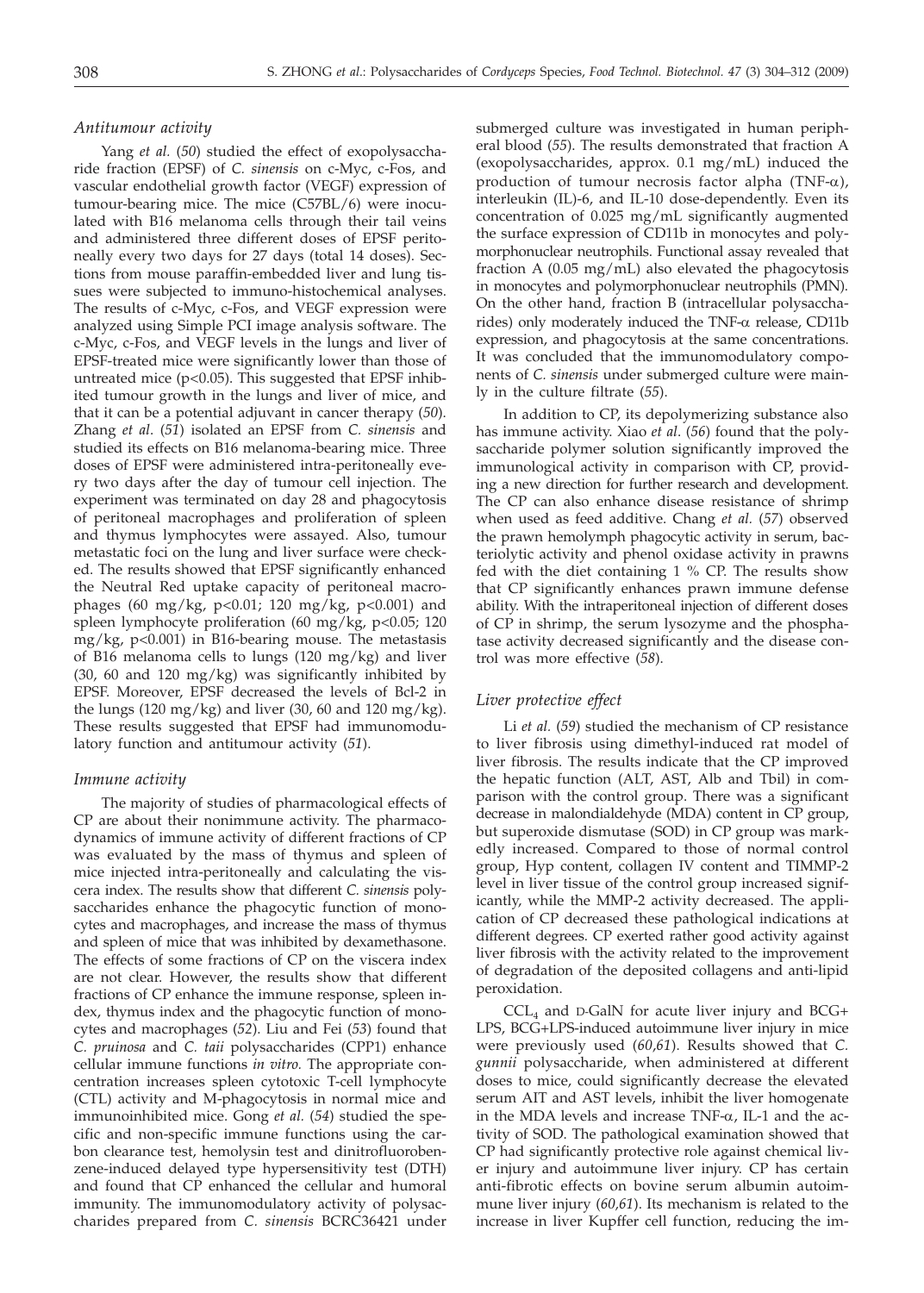## *Antitumour activity*

Yang *et al.* (*50*) studied the effect of exopolysaccharide fraction (EPSF) of *C. sinensis* on c-Myc, c-Fos, and vascular endothelial growth factor (VEGF) expression of tumour-bearing mice. The mice (C57BL/6) were inoculated with B16 melanoma cells through their tail veins and administered three different doses of EPSF peritoneally every two days for 27 days (total 14 doses). Sections from mouse paraffin-embedded liver and lung tissues were subjected to immuno-histochemical analyses. The results of c-Myc, c-Fos, and VEGF expression were analyzed using Simple PCI image analysis software. The c-Myc, c-Fos, and VEGF levels in the lungs and liver of EPSF-treated mice were significantly lower than those of untreated mice  $(p<0.05)$ . This suggested that EPSF inhibited tumour growth in the lungs and liver of mice, and that it can be a potential adjuvant in cancer therapy (*50*). Zhang *et al*. (*51*) isolated an EPSF from *C. sinensis* and studied its effects on B16 melanoma-bearing mice. Three doses of EPSF were administered intra-peritoneally every two days after the day of tumour cell injection. The experiment was terminated on day 28 and phagocytosis of peritoneal macrophages and proliferation of spleen and thymus lymphocytes were assayed. Also, tumour metastatic foci on the lung and liver surface were checked. The results showed that EPSF significantly enhanced the Neutral Red uptake capacity of peritoneal macrophages (60 mg/kg, p<0.01; 120 mg/kg, p<0.001) and spleen lymphocyte proliferation (60 mg/kg, p<0.05; 120 mg/kg, p<0.001) in B16-bearing mouse. The metastasis of B16 melanoma cells to lungs (120 mg/kg) and liver (30, 60 and 120 mg/kg) was significantly inhibited by EPSF. Moreover, EPSF decreased the levels of Bcl-2 in the lungs (120 mg/kg) and liver (30, 60 and 120 mg/kg). These results suggested that EPSF had immunomodulatory function and antitumour activity (*51*).

## *Immune activity*

The majority of studies of pharmacological effects of CP are about their nonimmune activity. The pharmacodynamics of immune activity of different fractions of CP was evaluated by the mass of thymus and spleen of mice injected intra-peritoneally and calculating the viscera index. The results show that different *C. sinensis* polysaccharides enhance the phagocytic function of monocytes and macrophages, and increase the mass of thymus and spleen of mice that was inhibited by dexamethasone. The effects of some fractions of CP on the viscera index are not clear. However, the results show that different fractions of CP enhance the immune response, spleen index, thymus index and the phagocytic function of monocytes and macrophages (*52*). Liu and Fei (*53*) found that *C. pruinosa* and *C. taii* polysaccharides (CPP1) enhance cellular immune functions *in vitro.* The appropriate concentration increases spleen cytotoxic T-cell lymphocyte (CTL) activity and M-phagocytosis in normal mice and immunoinhibited mice. Gong *et al.* (*54*) studied the specific and non-specific immune functions using the carbon clearance test, hemolysin test and dinitrofluorobenzene-induced delayed type hypersensitivity test (DTH) and found that CP enhanced the cellular and humoral immunity. The immunomodulatory activity of polysaccharides prepared from *C. sinensis* BCRC36421 under

submerged culture was investigated in human peripheral blood (*55*). The results demonstrated that fraction A (exopolysaccharides, approx. 0.1 mg/mL) induced the production of tumour necrosis factor alpha (TNF- $\alpha$ ), interleukin (IL)-6, and IL-10 dose-dependently. Even its concentration of 0.025 mg/mL significantly augmented the surface expression of CD11b in monocytes and polymorphonuclear neutrophils. Functional assay revealed that fraction A (0.05 mg/mL) also elevated the phagocytosis in monocytes and polymorphonuclear neutrophils (PMN). On the other hand, fraction B (intracellular polysaccharides) only moderately induced the TNF- $\alpha$  release, CD11b expression, and phagocytosis at the same concentrations. It was concluded that the immunomodulatory components of *C. sinensis* under submerged culture were mainly in the culture filtrate (*55*).

In addition to CP, its depolymerizing substance also has immune activity. Xiao *et al*. (*56*) found that the polysaccharide polymer solution significantly improved the immunological activity in comparison with CP, providing a new direction for further research and development. The CP can also enhance disease resistance of shrimp when used as feed additive. Chang *et al.* (*57*) observed the prawn hemolymph phagocytic activity in serum, bacteriolytic activity and phenol oxidase activity in prawns fed with the diet containing 1 % CP. The results show that CP significantly enhances prawn immune defense ability. With the intraperitoneal injection of different doses of CP in shrimp, the serum lysozyme and the phosphatase activity decreased significantly and the disease control was more effective (*58*).

## *Liver protective effect*

Li *et al.* (*59*) studied the mechanism of CP resistance to liver fibrosis using dimethyl-induced rat model of liver fibrosis. The results indicate that the CP improved the hepatic function (ALT, AST, Alb and Tbil) in comparison with the control group. There was a significant decrease in malondialdehyde (MDA) content in CP group, but superoxide dismutase (SOD) in CP group was markedly increased. Compared to those of normal control group, Hyp content, collagen IV content and TIMMP-2 level in liver tissue of the control group increased significantly, while the MMP-2 activity decreased. The application of CP decreased these pathological indications at different degrees. CP exerted rather good activity against liver fibrosis with the activity related to the improvement of degradation of the deposited collagens and anti-lipid peroxidation.

 $CCL<sub>4</sub>$  and D-GalN for acute liver injury and BCG+ LPS, BCG+LPS-induced autoimmune liver injury in mice were previously used (*60*,*61*). Results showed that *C. gunnii* polysaccharide, when administered at different doses to mice, could significantly decrease the elevated serum AIT and AST levels, inhibit the liver homogenate in the MDA levels and increase TNF- $\alpha$ , IL-1 and the activity of SOD. The pathological examination showed that CP had significantly protective role against chemical liver injury and autoimmune liver injury. CP has certain anti-fibrotic effects on bovine serum albumin autoimmune liver injury (*60,61*). Its mechanism is related to the increase in liver Kupffer cell function, reducing the im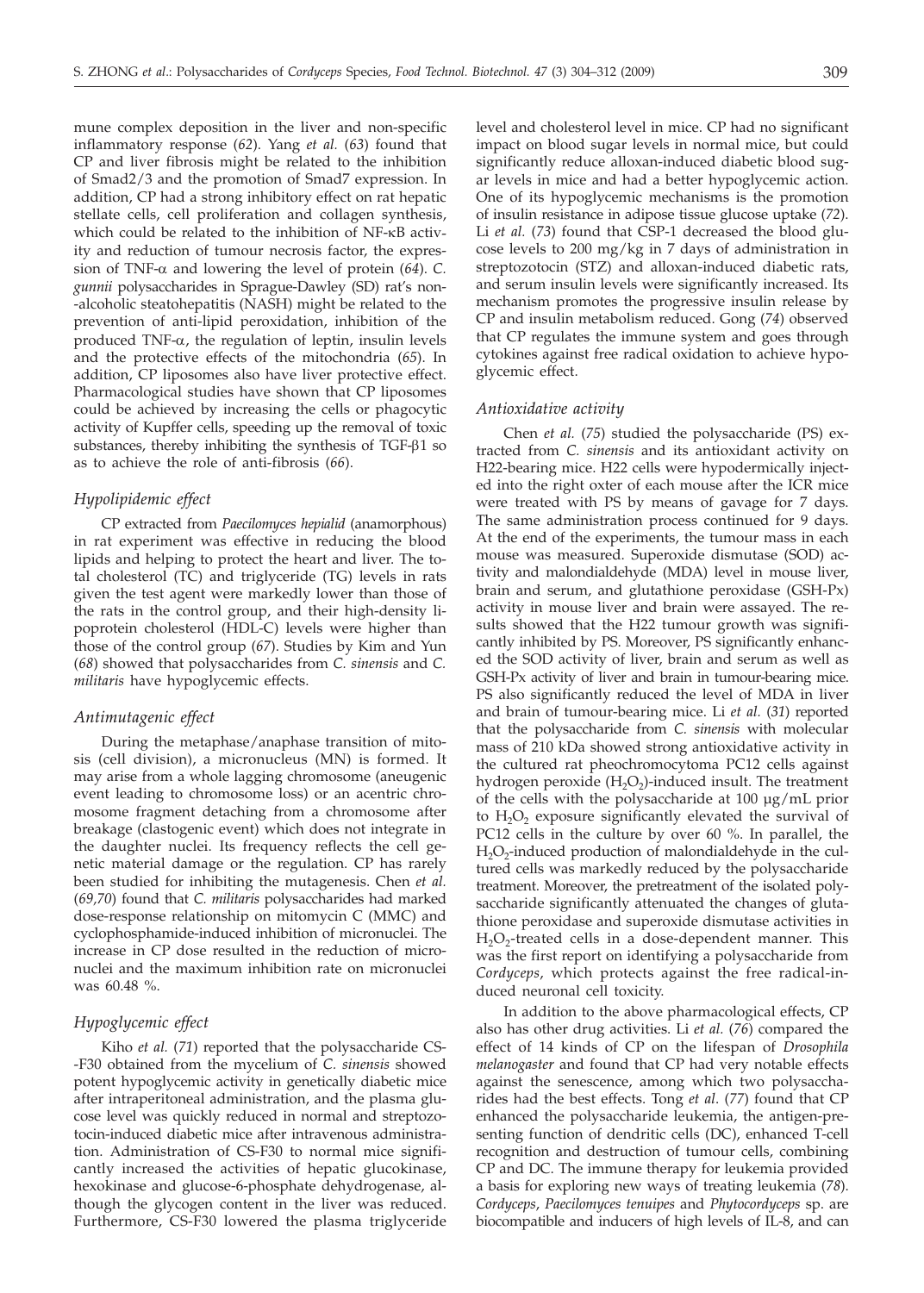mune complex deposition in the liver and non-specific inflammatory response (*62*). Yang *et al.* (*63*) found that CP and liver fibrosis might be related to the inhibition of Smad2/3 and the promotion of Smad7 expression. In addition, CP had a strong inhibitory effect on rat hepatic stellate cells, cell proliferation and collagen synthesis, which could be related to the inhibition of NF- $\kappa$ B activity and reduction of tumour necrosis factor, the expression of TNF- $\alpha$  and lowering the level of protein (64). *C*. *gunnii* polysaccharides in Sprague-Dawley (SD) rat's non- -alcoholic steatohepatitis (NASH) might be related to the prevention of anti-lipid peroxidation, inhibition of the produced TNF- $\alpha$ , the regulation of leptin, insulin levels and the protective effects of the mitochondria (*65*). In addition, CP liposomes also have liver protective effect. Pharmacological studies have shown that CP liposomes could be achieved by increasing the cells or phagocytic activity of Kupffer cells, speeding up the removal of toxic substances, thereby inhibiting the synthesis of  $TGF- $\beta$ 1 so$ as to achieve the role of anti-fibrosis (*66*).

## *Hypolipidemic effect*

CP extracted from *Paecilomyces hepialid* (anamorphous) in rat experiment was effective in reducing the blood lipids and helping to protect the heart and liver. The total cholesterol (TC) and triglyceride (TG) levels in rats given the test agent were markedly lower than those of the rats in the control group, and their high-density lipoprotein cholesterol (HDL-C) levels were higher than those of the control group (*67*). Studies by Kim and Yun (*68*) showed that polysaccharides from *C. sinensis* and *C. militaris* have hypoglycemic effects.

#### *Antimutagenic effect*

During the metaphase/anaphase transition of mitosis (cell division), a micronucleus (MN) is formed. It may arise from a whole lagging chromosome (aneugenic event leading to chromosome loss) or an acentric chromosome fragment detaching from a chromosome after breakage (clastogenic event) which does not integrate in the daughter nuclei. Its frequency reflects the cell genetic material damage or the regulation. CP has rarely been studied for inhibiting the mutagenesis. Chen *et al.* (*69,70*) found that *C. militaris* polysaccharides had marked dose-response relationship on mitomycin C (MMC) and cyclophosphamide-induced inhibition of micronuclei. The increase in CP dose resulted in the reduction of micronuclei and the maximum inhibition rate on micronuclei was 60.48 %.

## *Hypoglycemic effect*

Kiho *et al.* (*71*) reported that the polysaccharide CS- -F30 obtained from the mycelium of *C. sinensis* showed potent hypoglycemic activity in genetically diabetic mice after intraperitoneal administration, and the plasma glucose level was quickly reduced in normal and streptozotocin-induced diabetic mice after intravenous administration. Administration of CS-F30 to normal mice significantly increased the activities of hepatic glucokinase, hexokinase and glucose-6-phosphate dehydrogenase, although the glycogen content in the liver was reduced. Furthermore, CS-F30 lowered the plasma triglyceride level and cholesterol level in mice. CP had no significant impact on blood sugar levels in normal mice, but could significantly reduce alloxan-induced diabetic blood sugar levels in mice and had a better hypoglycemic action. One of its hypoglycemic mechanisms is the promotion of insulin resistance in adipose tissue glucose uptake (*72*). Li *et al.* (*73*) found that CSP-1 decreased the blood glucose levels to 200 mg/kg in 7 days of administration in streptozotocin (STZ) and alloxan-induced diabetic rats, and serum insulin levels were significantly increased. Its mechanism promotes the progressive insulin release by CP and insulin metabolism reduced. Gong (*74*) observed that CP regulates the immune system and goes through cytokines against free radical oxidation to achieve hypoglycemic effect.

## *Antioxidative activity*

Chen *et al.* (*75*) studied the polysaccharide (PS) extracted from *C. sinensis* and its antioxidant activity on H22-bearing mice. H22 cells were hypodermically injected into the right oxter of each mouse after the ICR mice were treated with PS by means of gavage for 7 days. The same administration process continued for 9 days. At the end of the experiments, the tumour mass in each mouse was measured. Superoxide dismutase (SOD) activity and malondialdehyde (MDA) level in mouse liver, brain and serum, and glutathione peroxidase (GSH-Px) activity in mouse liver and brain were assayed. The results showed that the H22 tumour growth was significantly inhibited by PS. Moreover, PS significantly enhanced the SOD activity of liver, brain and serum as well as GSH-Px activity of liver and brain in tumour-bearing mice. PS also significantly reduced the level of MDA in liver and brain of tumour-bearing mice. Li *et al.* (*31*) reported that the polysaccharide from *C. sinensis* with molecular mass of 210 kDa showed strong antioxidative activity in the cultured rat pheochromocytoma PC12 cells against hydrogen peroxide  $(H_2O_2)$ -induced insult. The treatment of the cells with the polysaccharide at 100 μg/mL prior to  $H_2O_2$  exposure significantly elevated the survival of PC12 cells in the culture by over 60 %. In parallel, the  $H_2O_2$ -induced production of malondialdehyde in the cultured cells was markedly reduced by the polysaccharide treatment. Moreover, the pretreatment of the isolated polysaccharide significantly attenuated the changes of glutathione peroxidase and superoxide dismutase activities in  $H_2O_2$ -treated cells in a dose-dependent manner. This was the first report on identifying a polysaccharide from *Cordyceps*, which protects against the free radical-induced neuronal cell toxicity.

In addition to the above pharmacological effects, CP also has other drug activities. Li *et al.* (*76*) compared the effect of 14 kinds of CP on the lifespan of *Drosophila melanogaster* and found that CP had very notable effects against the senescence, among which two polysaccharides had the best effects. Tong *et al*. (*77*) found that CP enhanced the polysaccharide leukemia, the antigen-presenting function of dendritic cells (DC), enhanced T-cell recognition and destruction of tumour cells, combining CP and DC. The immune therapy for leukemia provided a basis for exploring new ways of treating leukemia (*78*). *Cordyceps*, *Paecilomyces tenuipes* and *Phytocordyceps* sp. are biocompatible and inducers of high levels of IL-8, and can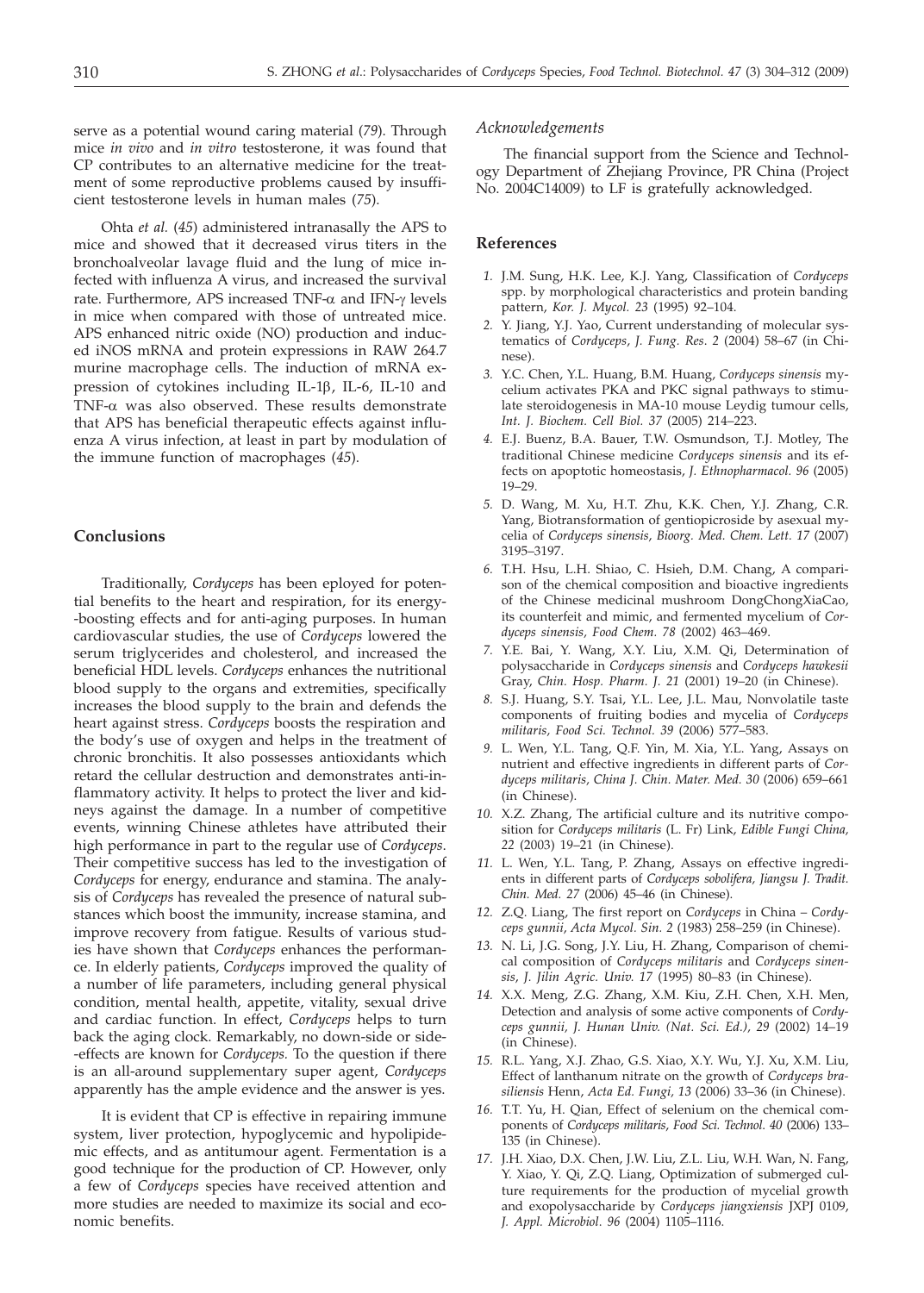serve as a potential wound caring material (*79*). Through mice *in vivo* and *in vitro* testosterone, it was found that CP contributes to an alternative medicine for the treatment of some reproductive problems caused by insufficient testosterone levels in human males (*75*).

Ohta *et al.* (*45*) administered intranasally the APS to mice and showed that it decreased virus titers in the bronchoalveolar lavage fluid and the lung of mice infected with influenza A virus, and increased the survival rate. Furthermore, APS increased TNF- $\alpha$  and IFN- $\gamma$  levels in mice when compared with those of untreated mice. APS enhanced nitric oxide (NO) production and induced iNOS mRNA and protein expressions in RAW 264.7 murine macrophage cells. The induction of mRNA expression of cytokines including IL-1 $\beta$ , IL-6, IL-10 and TNF- $\alpha$  was also observed. These results demonstrate that APS has beneficial therapeutic effects against influenza A virus infection, at least in part by modulation of the immune function of macrophages (*45*).

## **Conclusions**

Traditionally, *Cordyceps* has been eployed for potential benefits to the heart and respiration, for its energy- -boosting effects and for anti-aging purposes. In human cardiovascular studies, the use of *Cordyceps* lowered the serum triglycerides and cholesterol, and increased the beneficial HDL levels. *Cordyceps* enhances the nutritional blood supply to the organs and extremities, specifically increases the blood supply to the brain and defends the heart against stress. *Cordyceps* boosts the respiration and the body's use of oxygen and helps in the treatment of chronic bronchitis. It also possesses antioxidants which retard the cellular destruction and demonstrates anti-inflammatory activity. It helps to protect the liver and kidneys against the damage. In a number of competitive events, winning Chinese athletes have attributed their high performance in part to the regular use of *Cordyceps*. Their competitive success has led to the investigation of *Cordyceps* for energy, endurance and stamina. The analysis of *Cordyceps* has revealed the presence of natural substances which boost the immunity, increase stamina, and improve recovery from fatigue. Results of various studies have shown that *Cordyceps* enhances the performance. In elderly patients, *Cordyceps* improved the quality of a number of life parameters, including general physical condition, mental health, appetite, vitality, sexual drive and cardiac function. In effect, *Cordyceps* helps to turn back the aging clock. Remarkably, no down-side or side- -effects are known for *Cordyceps.* To the question if there is an all-around supplementary super agent, *Cordyceps* apparently has the ample evidence and the answer is yes.

It is evident that CP is effective in repairing immune system, liver protection, hypoglycemic and hypolipidemic effects, and as antitumour agent. Fermentation is a good technique for the production of CP. However, only a few of *Cordyceps* species have received attention and more studies are needed to maximize its social and economic benefits.

#### *Acknowledgements*

The financial support from the Science and Technology Department of Zhejiang Province, PR China (Project No. 2004C14009) to LF is gratefully acknowledged.

#### **References**

- *1.* J.M. Sung, H.K. Lee, K.J. Yang, Classification of *Cordyceps* spp. by morphological characteristics and protein banding pattern, *Kor. J. Mycol. 23* (1995) 92–104.
- *2.* Y. Jiang, Y.J. Yao, Current understanding of molecular systematics of *Cordyceps*, *J. Fung. Res*. *2* (2004) 58–67 (in Chinese).
- *3.* Y.C. Chen, Y.L. Huang, B.M. Huang, *Cordyceps sinensis* mycelium activates PKA and PKC signal pathways to stimulate steroidogenesis in MA-10 mouse Leydig tumour cells, *Int. J. Biochem. Cell Biol. 37* (2005) 214–223.
- *4.* E.J. Buenz, B.A. Bauer, T.W. Osmundson, T.J. Motley, The traditional Chinese medicine *Cordyceps sinensis* and its effects on apoptotic homeostasis, *J. Ethnopharmacol. 96* (2005) 19–29.
- *5.* D. Wang, M. Xu, H.T. Zhu, K.K. Chen, Y.J. Zhang, C.R. Yang, Biotransformation of gentiopicroside by asexual mycelia of *Cordyceps sinensis*, *Bioorg. Med. Chem. Lett. 17* (2007) 3195–3197.
- *6.* T.H. Hsu, L.H. Shiao, C. Hsieh, D.M. Chang, A comparison of the chemical composition and bioactive ingredients of the Chinese medicinal mushroom DongChongXiaCao, its counterfeit and mimic, and fermented mycelium of *Cordyceps sinensis, Food Chem. 78* (2002) 463–469.
- *7.* Y.E. Bai, Y. Wang, X.Y. Liu, X.M. Qi, Determination of polysaccharide in *Cordyceps sinensis* and *Cordyceps hawkesii* Gray, *Chin. Hosp. Pharm. J. 21* (2001) 19–20 (in Chinese).
- *8.* S.J. Huang, S.Y. Tsai, Y.L. Lee, J.L. Mau, Nonvolatile taste components of fruiting bodies and mycelia of *Cordyceps militaris, Food Sci. Technol. 39* (2006) 577–583.
- *9.* L. Wen, Y.L. Tang, Q.F. Yin, M. Xia, Y.L. Yang, Assays on nutrient and effective ingredients in different parts of *Cordyceps militaris, China J. Chin. Mater. Med. 30* (2006) 659–661 (in Chinese).
- *10.* X.Z. Zhang, The artificial culture and its nutritive composition for *Cordyceps militaris* (L. Fr) Link, *Edible Fungi China, 22* (2003) 19–21 (in Chinese).
- *11.* L. Wen, Y.L. Tang, P. Zhang, Assays on effective ingredients in different parts of *Cordyceps sobolifera, Jiangsu J. Tradit. Chin. Med. 27* (2006) 45–46 (in Chinese).
- *12.* Z.Q. Liang, The first report on *Cordyceps* in China *Cordyceps gunnii*, *Acta Mycol. Sin. 2* (1983) 258–259 (in Chinese).
- *13.* N. Li, J.G. Song, J.Y. Liu, H. Zhang, Comparison of chemical composition of *Cordyceps militaris* and *Cordyceps sinensis*, *J. Jilin Agric. Univ. 17* (1995) 80–83 (in Chinese).
- *14.* X.X. Meng, Z.G. Zhang, X.M. Kiu, Z.H. Chen, X.H. Men, Detection and analysis of some active components of *Cordyceps gunnii, J. Hunan Univ. (Nat. Sci. Ed.), 29* (2002) 14–19 (in Chinese).
- *15.* R.L. Yang, X.J. Zhao, G.S. Xiao, X.Y. Wu, Y.J. Xu, X.M. Liu, Effect of lanthanum nitrate on the growth of *Cordyceps brasiliensis* Henn, *Acta Ed. Fungi, 13* (2006) 33–36 (in Chinese).
- *16.* T.T. Yu, H. Qian, Effect of selenium on the chemical components of *Cordyceps militaris*, *Food Sci. Technol*. *40* (2006) 133– 135 (in Chinese).
- *17.* J.H. Xiao, D.X. Chen, J.W. Liu, Z.L. Liu, W.H. Wan, N. Fang, Y. Xiao, Y. Qi, Z.Q. Liang, Optimization of submerged culture requirements for the production of mycelial growth and exopolysaccharide by *Cordyceps jiangxiensis* JXPJ 0109, *J. Appl. Microbiol*. *96* (2004) 1105–1116.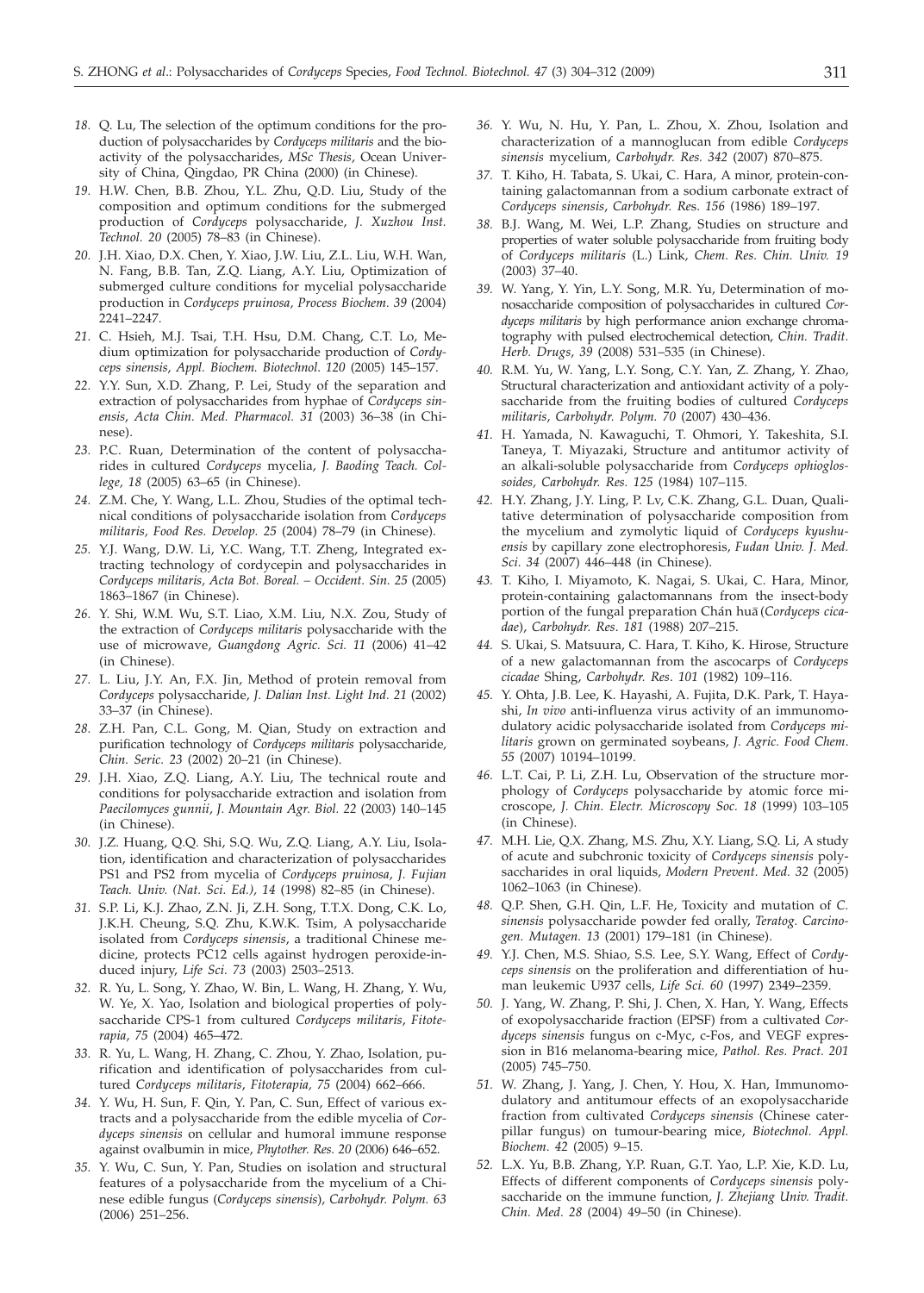- *18.* Q. Lu, The selection of the optimum conditions for the production of polysaccharides by *Cordyceps militaris* and the bioactivity of the polysaccharides, *MSc Thesis*, Ocean University of China, Qingdao, PR China (2000) (in Chinese).
- *19.* H.W. Chen, B.B. Zhou, Y.L. Zhu, Q.D. Liu, Study of the composition and optimum conditions for the submerged production of *Cordyceps* polysaccharide, *J. Xuzhou Inst. Technol. 20* (2005) 78–83 (in Chinese).
- *20.* J.H. Xiao, D.X. Chen, Y. Xiao, J.W. Liu, Z.L. Liu, W.H. Wan, N. Fang, B.B. Tan, Z.Q. Liang, A.Y. Liu, Optimization of submerged culture conditions for mycelial polysaccharide production in *Cordyceps pruinosa, Process Biochem. 39* (2004) 2241–2247.
- *21.* C. Hsieh, M.J. Tsai, T.H. Hsu, D.M. Chang, C.T. Lo, Medium optimization for polysaccharide production of *Cordyceps sinensis*, *Appl. Biochem. Biotechnol*. *120* (2005) 145–157.
- *22.* Y.Y. Sun, X.D. Zhang, P. Lei, Study of the separation and extraction of polysaccharides from hyphae of *Cordyceps sinensis*, *Acta Chin. Med. Pharmacol. 31* (2003) 36–38 (in Chinese).
- *23.* P.C. Ruan, Determination of the content of polysaccharides in cultured *Cordyceps* mycelia, *J. Baoding Teach. College, 18* (2005) 63–65 (in Chinese).
- *24.* Z.M. Che, Y. Wang, L.L. Zhou, Studies of the optimal technical conditions of polysaccharide isolation from *Cordyceps militaris, Food Res. Develop. 25* (2004) 78–79 (in Chinese).
- *25.* Y.J. Wang, D.W. Li, Y.C. Wang, T.T. Zheng, Integrated extracting technology of cordycepin and polysaccharides in *Cordyceps militaris, Acta Bot. Boreal. – Occident. Sin. 25* (2005) 1863–1867 (in Chinese).
- *26.* Y. Shi, W.M. Wu, S.T. Liao, X.M. Liu, N.X. Zou, Study of the extraction of *Cordyceps militaris* polysaccharide with the use of microwave, *Guangdong Agric. Sci. 11* (2006) 41–42 (in Chinese).
- *27.* L. Liu, J.Y. An, F.X. Jin, Method of protein removal from *Cordyceps* polysaccharide, *J. Dalian Inst. Light Ind. 21* (2002) 33–37 (in Chinese).
- *28.* Z.H. Pan, C.L. Gong, M. Qian, Study on extraction and purification technology of *Cordyceps militaris* polysaccharide*, Chin. Seric. 23* (2002) 20–21 (in Chinese).
- *29.* J.H. Xiao, Z.Q. Liang, A.Y. Liu, The technical route and conditions for polysaccharide extraction and isolation from *Paecilomyces gunnii*, *J. Mountain Agr. Biol. 22* (2003) 140–145 (in Chinese).
- *30.* J.Z. Huang, Q.Q. Shi, S.Q. Wu, Z.Q. Liang, A.Y. Liu, Isolation, identification and characterization of polysaccharides PS1 and PS2 from mycelia of *Cordyceps pruinosa*, *J. Fujian Teach. Univ. (Nat. Sci*. *Ed.), 14* (1998) 82–85 (in Chinese).
- *31.* S.P. Li, K.J. Zhao, Z.N. Ji, Z.H. Song, T.T.X. Dong, C.K. Lo, J.K.H. Cheung, S.Q. Zhu, K.W.K. Tsim, A polysaccharide isolated from *Cordyceps sinensis*, a traditional Chinese medicine, protects PC12 cells against hydrogen peroxide-induced injury, *Life Sci. 73* (2003) 2503–2513.
- *32.* R. Yu, L. Song, Y. Zhao, W. Bin, L. Wang, H. Zhang, Y. Wu, W. Ye, X. Yao, Isolation and biological properties of polysaccharide CPS-1 from cultured *Cordyceps militaris*, *Fitoterapia*, *75* (2004) 465–472.
- *33.* R. Yu, L. Wang, H. Zhang, C. Zhou, Y. Zhao, Isolation, purification and identification of polysaccharides from cultured *Cordyceps militaris*, *Fitoterapia, 75* (2004) 662–666.
- *34.* Y. Wu, H. Sun, F. Qin, Y. Pan, C. Sun, Effect of various extracts and a polysaccharide from the edible mycelia of *Cordyceps sinensis* on cellular and humoral immune response against ovalbumin in mice, *Phytother. Res. 20* (2006) 646–652.
- *35.* Y. Wu, C. Sun, Y. Pan, Studies on isolation and structural features of a polysaccharide from the mycelium of a Chinese edible fungus (*Cordyceps sinensis*), *Carbohydr. Polym. 63* (2006) 251–256.
- *36.* Y. Wu, N. Hu, Y. Pan, L. Zhou, X. Zhou, Isolation and characterization of a mannoglucan from edible *Cordyceps sinensis* mycelium, *Carbohydr. Res. 342* (2007) 870–875.
- *37.* T. Kiho, H. Tabata, S. Ukai, C. Hara, A minor, protein-containing galactomannan from a sodium carbonate extract of *Cordyceps sinensis*, *Carbohydr. Re*s. *156* (1986) 189–197.
- *38.* B.J. Wang, M. Wei, L.P. Zhang, Studies on structure and properties of water soluble polysaccharide from fruiting body of *Cordyceps militaris* (L.) Link*, Chem. Res. Chin. Univ. 19* (2003) 37–40.
- *39.* W. Yang, Y. Yin, L.Y. Song, M.R. Yu, Determination of monosaccharide composition of polysaccharides in cultured *Cordyceps militaris* by high performance anion exchange chromatography with pulsed electrochemical detection, *Chin. Tradit. Herb. Drugs*, *39* (2008) 531–535 (in Chinese).
- *40.* R.M. Yu, W. Yang, L.Y. Song, C.Y. Yan, Z. Zhang, Y. Zhao, Structural characterization and antioxidant activity of a polysaccharide from the fruiting bodies of cultured *Cordyceps militaris*, *Carbohydr. Polym. 70* (2007) 430–436.
- *41.* H. Yamada, N. Kawaguchi, T. Ohmori, Y. Takeshita, S.I. Taneya, T. Miyazaki, Structure and antitumor activity of an alkali-soluble polysaccharide from *Cordyceps ophioglossoides, Carbohydr. Res. 125* (1984) 107–115.
- *42.* H.Y. Zhang, J.Y. Ling, P. Lv, C.K. Zhang, G.L. Duan, Qualitative determination of polysaccharide composition from the mycelium and zymolytic liquid of *Cordyceps kyushuensis* by capillary zone electrophoresis, *Fudan Univ. J. Med. Sci*. *34* (2007) 446–448 (in Chinese).
- *43.* T. Kiho, I. Miyamoto, K. Nagai, S. Ukai, C. Hara, Minor, protein-containing galactomannans from the insect-body portion of the fungal preparation Chán hua (Cordyceps cica*dae*), *Carbohydr. Res*. *181* (1988) 207–215.
- *44.* S. Ukai, S. Matsuura, C. Hara, T. Kiho, K. Hirose, Structure of a new galactomannan from the ascocarps of *Cordyceps cicadae* Shing, *Carbohydr. Res*. *101* (1982) 109–116.
- *45.* Y. Ohta, J.B. Lee, K. Hayashi, A. Fujita, D.K. Park, T. Hayashi, *In vivo* anti-influenza virus activity of an immunomodulatory acidic polysaccharide isolated from *Cordyceps militaris* grown on germinated soybeans, *J. Agric. Food Chem*. *55* (2007) 10194–10199.
- *46.* L.T. Cai, P. Li, Z.H. Lu, Observation of the structure morphology of *Cordyceps* polysaccharide by atomic force microscope, *J. Chin. Electr. Microscopy Soc. 18* (1999) 103–105 (in Chinese).
- *47.* M.H. Lie, Q.X. Zhang, M.S. Zhu, X.Y. Liang, S.Q. Li, A study of acute and subchronic toxicity of *Cordyceps sinensis* polysaccharides in oral liquids, *Modern Prevent. Med. 32* (2005) 1062–1063 (in Chinese).
- *48.* Q.P. Shen, G.H. Qin, L.F. He, Toxicity and mutation of *C. sinensis* polysaccharide powder fed orally, *Teratog. Carcinogen. Mutagen. 13* (2001) 179–181 (in Chinese).
- *49.* Y.J. Chen, M.S. Shiao, S.S. Lee, S.Y. Wang, Effect of *Cordyceps sinensis* on the proliferation and differentiation of human leukemic U937 cells, *Life Sci. 60* (1997) 2349–2359.
- *50.* J. Yang, W. Zhang, P. Shi, J. Chen, X. Han, Y. Wang, Effects of exopolysaccharide fraction (EPSF) from a cultivated *Cordyceps sinensis* fungus on c-Myc, c-Fos, and VEGF expression in B16 melanoma-bearing mice, *Pathol. Res. Pract. 201* (2005) 745–750.
- *51.* W. Zhang, J. Yang, J. Chen, Y. Hou, X. Han, Immunomodulatory and antitumour effects of an exopolysaccharide fraction from cultivated *Cordyceps sinensis* (Chinese caterpillar fungus) on tumour-bearing mice, *Biotechnol. Appl. Biochem*. *42* (2005) 9–15.
- *52.* L.X. Yu, B.B. Zhang, Y.P. Ruan, G.T. Yao, L.P. Xie, K.D. Lu, Effects of different components of *Cordyceps sinensis* polysaccharide on the immune function, *J. Zhejiang Univ. Tradit. Chin. Med. 28* (2004) 49–50 (in Chinese).